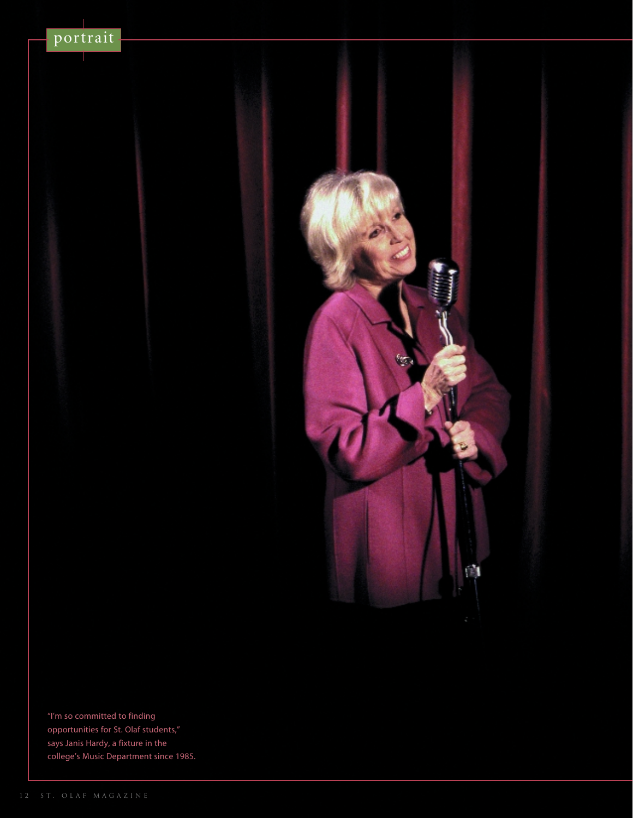



"I'm so committed to finding opportunities for St. Olaf students," says Janis Hardy, a fixture in the college's Music Department since 1985.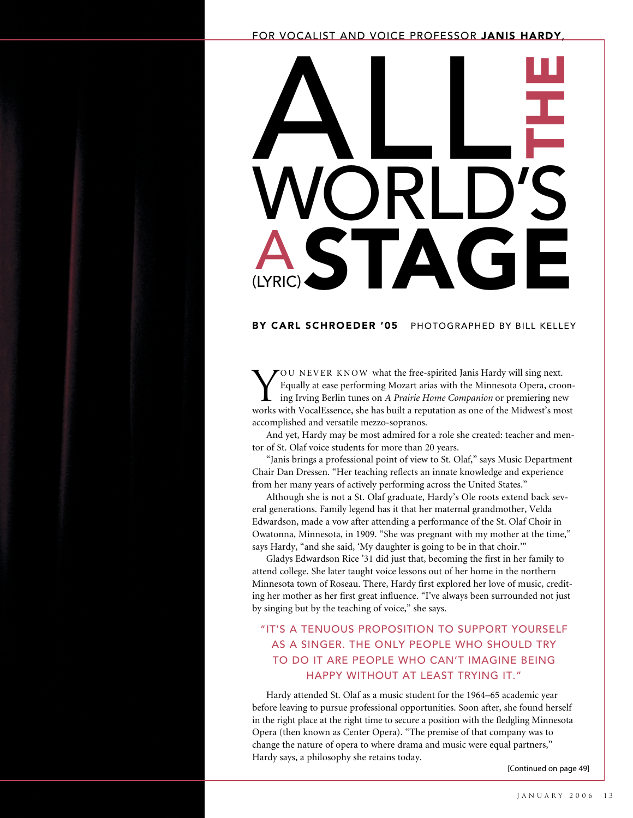#### FOR VOCALIST AND VOICE PROFESSOR JANIS HARDY,



## BY CARL SCHROEDER '05 PHOTOGRAPHED BY BILL KELLEY

YOU NEVER KNOW what the free-spirited Janis Hardy will sing next.<br>Equally at ease performing Mozart arias with the Minnesota Opera, crowing Irving Berlin tunes on A Prairie Home Companion or premiering ne Equally at ease performing Mozart arias with the Minnesota Opera, crooning Irving Berlin tunes on *A Prairie Home Companion* or premiering new works with VocalEssence, she has built a reputation as one of the Midwest's most accomplished and versatile mezzo-sopranos.

And yet, Hardy may be most admired for a role she created: teacher and mentor of St. Olaf voice students for more than 20 years.

"Janis brings a professional point of view to St. Olaf," says Music Department Chair Dan Dressen. "Her teaching reflects an innate knowledge and experience from her many years of actively performing across the United States."

Although she is not a St. Olaf graduate, Hardy's Ole roots extend back several generations. Family legend has it that her maternal grandmother, Velda Edwardson, made a vow after attending a performance of the St. Olaf Choir in Owatonna, Minnesota, in 1909. "She was pregnant with my mother at the time," says Hardy, "and she said, 'My daughter is going to be in that choir.'"

Gladys Edwardson Rice '31 did just that, becoming the first in her family to attend college. She later taught voice lessons out of her home in the northern Minnesota town of Roseau. There, Hardy first explored her love of music, crediting her mother as her first great influence. "I've always been surrounded not just by singing but by the teaching of voice," she says.

## "IT'S A TENUOUS PROPOSITION TO SUPPORT YOURSELF AS A SINGER. THE ONLY PEOPLE WHO SHOULD TRY TO DO IT ARE PEOPLE WHO CAN'T IMAGINE BEING HAPPY WITHOUT AT LEAST TRYING IT."

Hardy attended St. Olaf as a music student for the 1964–65 academic year before leaving to pursue professional opportunities. Soon after, she found herself in the right place at the right time to secure a position with the fledgling Minnesota Opera (then known as Center Opera). "The premise of that company was to change the nature of opera to where drama and music were equal partners," Hardy says, a philosophy she retains today.

[Continued on page 49]